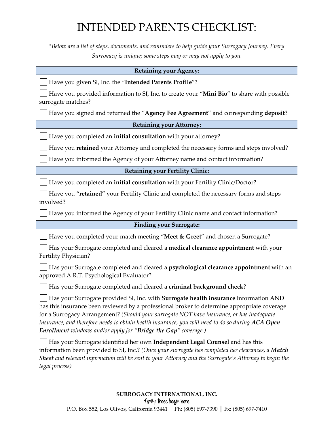## INTENDED PARENTS CHECKLIST:

*\*Below are a list of steps, documents, and reminders to help guide your Surrogacy Journey. Every Surrogacy is unique; some steps may or may not apply to you.*

| <b>Retaining your Agency:</b>                                                                                                                                                                                                                                                                                                                                                                                                                                   |
|-----------------------------------------------------------------------------------------------------------------------------------------------------------------------------------------------------------------------------------------------------------------------------------------------------------------------------------------------------------------------------------------------------------------------------------------------------------------|
| Have you given SI, Inc. the "Intended Parents Profile"?                                                                                                                                                                                                                                                                                                                                                                                                         |
| Have you provided information to SI, Inc. to create your "Mini Bio" to share with possible<br>surrogate matches?                                                                                                                                                                                                                                                                                                                                                |
| Have you signed and returned the "Agency Fee Agreement" and corresponding deposit?                                                                                                                                                                                                                                                                                                                                                                              |
| <b>Retaining your Attorney:</b>                                                                                                                                                                                                                                                                                                                                                                                                                                 |
| Have you completed an initial consultation with your attorney?                                                                                                                                                                                                                                                                                                                                                                                                  |
| Have you retained your Attorney and completed the necessary forms and steps involved?                                                                                                                                                                                                                                                                                                                                                                           |
| Have you informed the Agency of your Attorney name and contact information?                                                                                                                                                                                                                                                                                                                                                                                     |
| <b>Retaining your Fertility Clinic:</b>                                                                                                                                                                                                                                                                                                                                                                                                                         |
| Have you completed an initial consultation with your Fertility Clinic/Doctor?                                                                                                                                                                                                                                                                                                                                                                                   |
| Have you "retained" your Fertility Clinic and completed the necessary forms and steps<br>involved?                                                                                                                                                                                                                                                                                                                                                              |
| Have you informed the Agency of your Fertility Clinic name and contact information?                                                                                                                                                                                                                                                                                                                                                                             |
| <b>Finding your Surrogate:</b>                                                                                                                                                                                                                                                                                                                                                                                                                                  |
| Have you completed your match meeting "Meet & Greet" and chosen a Surrogate?                                                                                                                                                                                                                                                                                                                                                                                    |
|                                                                                                                                                                                                                                                                                                                                                                                                                                                                 |
| Has your Surrogate completed and cleared a medical clearance appointment with your<br>Fertility Physician?                                                                                                                                                                                                                                                                                                                                                      |
| Has your Surrogate completed and cleared a psychological clearance appointment with an<br>approved A.R.T. Psychological Evaluator?                                                                                                                                                                                                                                                                                                                              |
| Has your Surrogate completed and cleared a criminal background check?                                                                                                                                                                                                                                                                                                                                                                                           |
| Has your Surrogate provided SI, Inc. with Surrogate health insurance information AND<br>has this insurance been reviewed by a professional broker to determine appropriate coverage<br>for a Surrogacy Arrangement? (Should your surrogate NOT have insurance, or has inadequate<br>insurance, and therefore needs to obtain health insurance, you will need to do so during ACA Open<br><b>Enrollment</b> windows and/or apply for "Bridge the Gap" coverage.) |